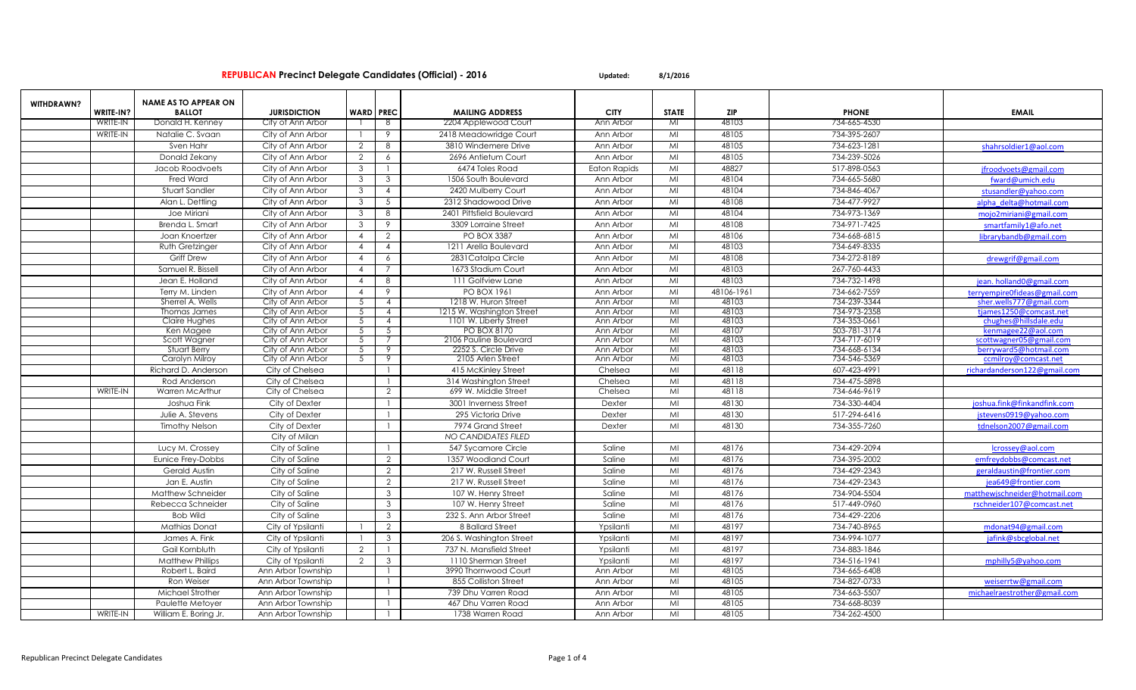| <b>WITHDRAWN?</b> |                 | <b>NAME AS TO APPEAR ON</b> |                     |                  |                          |                           |                     |                |            |              |                                                         |
|-------------------|-----------------|-----------------------------|---------------------|------------------|--------------------------|---------------------------|---------------------|----------------|------------|--------------|---------------------------------------------------------|
|                   | WRITE-IN?       | <b>BALLOT</b>               | <b>JURISDICTION</b> | <b>WARD PREC</b> |                          | <b>MAILING ADDRESS</b>    | <b>CITY</b>         | <b>STATE</b>   | <b>ZIP</b> | <b>PHONE</b> | <b>EMAIL</b>                                            |
|                   | <b>WRITE-IN</b> | Donald H. Kenney            | City of Ann Arbor   |                  | -8                       | 2204 Applewood Court      | Ann Arbor           | MI             | 48103      | 734-665-4530 |                                                         |
|                   | WRITE-IN        | Natalie C. Svaan            | City of Ann Arbor   |                  | 9                        | 2418 Meadowridge Courl    | Ann Arbor           | MI             | 48105      | 734-395-2607 |                                                         |
|                   |                 | Sven Hahr                   | City of Ann Arbor   | $\overline{2}$   | 8                        | 3810 Windemere Drive      | Ann Arbor           | MI             | 48105      | 734-623-1281 | shahrsoldier1@aol.com                                   |
|                   |                 | Donald Zekany               | City of Ann Arbor   | 2                | 6                        | 2696 Antietum Court       | Ann Arbor           | MI             | 48105      | 734-239-5026 |                                                         |
|                   |                 | Jacob Roodvoets             | City of Ann Arbor   | $\mathbf{3}$     |                          | 6474 Toles Road           | <b>Eaton Rapids</b> | MI             | 48827      | 517-898-0563 | jfroodvoets@gmail.com                                   |
|                   |                 | <b>Fred Ward</b>            | City of Ann Arbor   | 3                | $\mathbf{3}$             | 1506 South Boulevard      | Ann Arbor           | MI             | 48104      | 734-665-5680 | fward@umich.edu                                         |
|                   |                 | Stuart Sandler              | City of Ann Arbor   | $\mathbf{3}$     | $\overline{4}$           | 2420 Mulberry Court       | Ann Arbor           | MI             | 48104      | 734-846-4067 | stusandler@yahoo.com                                    |
|                   |                 | Alan L. Dettling            | City of Ann Arbor   | $\mathbf{3}$     | 5                        | 2312 Shadowood Drive      | Ann Arbor           | MI             | 48108      | 734-477-9927 | alpha delta@hotmail.com                                 |
|                   |                 | Joe Miriani                 | City of Ann Arbor   | -3               | 8                        | 2401 Pittsfield Boulevard | Ann Arbor           | MI             | 48104      | 734-973-1369 | mojo2miriani@gmail.com                                  |
|                   |                 | Brenda L. Smart             | City of Ann Arbor   | $\mathbf{3}$     | 9                        | 3309 Lorraine Street      | Ann Arbor           | MI             | 48108      | 734-971-7425 | smartfamily1@afo.net                                    |
|                   |                 | Joan Knoertzer              | City of Ann Arbor   | $\overline{4}$   | 2                        | <b>PO BOX 3387</b>        | Ann Arbor           | MI             | 48106      | 734-668-6815 | librarybandb@gmail.com                                  |
|                   |                 | Ruth Gretzinger             | City of Ann Arbor   | $\overline{4}$   | $\overline{4}$           | 1211 Arella Boulevard     | Ann Arbor           | MI             | 48103      | 734-649-8335 |                                                         |
|                   |                 | <b>Griff Drew</b>           | City of Ann Arbor   | $\overline{4}$   | 6                        | 2831 Catalpa Circle       | Ann Arbor           | MI             | 48108      | 734-272-8189 | drewgrif@gmail.com                                      |
|                   |                 | Samuel R. Bissell           | City of Ann Arbor   | $\overline{4}$   | $\overline{7}$           | 1673 Stadium Court        | Ann Arbor           | M <sub>l</sub> | 48103      | 267-760-4433 |                                                         |
|                   |                 | Jean E. Holland             | City of Ann Arbor   | $\overline{4}$   | 8                        | 111 Golfview Lane         | Ann Arbor           | MI             | 48103      | 734-732-1498 |                                                         |
|                   |                 | Terry M. Linden             | City of Ann Arbor   | $\overline{4}$   | 9                        | <b>PO BOX 1961</b>        | Ann Arbor           | MI             | 48106-1961 | 734-662-7559 | jean. holland0@gmail.com                                |
|                   |                 | Sherrel A. Wells            | City of Ann Arbor   | 5                | $\overline{4}$           | 1218 W. Huron Street      | Ann Arbor           | M <sub>l</sub> | 48103      | 734-239-3344 | terryempire0fideas@gmail.com<br>sher.wells777@gmail.com |
|                   |                 | Thomas James                | City of Ann Arbor   | - 5              | $\overline{4}$           | 1215 W. Washington Street | Ann Arbor           | M <sub>l</sub> | 48103      | 734-973-2358 | tjames1250@comcast.net                                  |
|                   |                 | Claire Hughes               | City of Ann Arbor   | - 5              | $\overline{4}$           | 1101 W. Liberty Street    | Ann Arbor           | MI             | 48103      | 734-353-0661 | chughes@hillsdale.edu                                   |
|                   |                 | Ken Magee                   | City of Ann Arbor   | -5               | 5                        | PO BOX 8170               | Ann Arbor           | $M_{\odot}$    | 48107      | 503-781-3174 | kenmagee22@aol.com                                      |
|                   |                 | Scott Wagner                | City of Ann Arbor   | 5                | 7                        | 2106 Pauline Boulevard    | Ann Arbor           | M <sub>l</sub> | 48103      | 734-717-6019 | scottwagner05@gmail.com                                 |
|                   |                 | Stuart Berry                | City of Ann Arbor   | 5                | $\overline{\mathcal{S}}$ | 2252 S. Circle Drive      | Ann Arbor           | MI             | 48103      | 734-668-6134 | berryward5@hotmail.com                                  |
|                   |                 | Carolyn Milroy              | City of Ann Arbor   | -5               | 9                        | 2105 Arlen Street         | Ann Arbor           | Mi             | 48103      | 734-546-5369 | ccmilroy@comcast.net                                    |
|                   |                 | Richard D. Anderson         | City of Chelsea     |                  | $\overline{1}$           | 415 McKinley Street       | Chelsea             | MI             | 48118      | 607-423-4991 | richardanderson122@gmail.com                            |
|                   |                 | Rod Anderson                | City of Chelsea     |                  | $\overline{1}$           | 314 Washington Street     | Chelsea             | MI             | 48118      | 734-475-5898 |                                                         |
|                   | WRITE-IN        | Warren McArthur             | City of Chelsea     |                  | 2                        | 699 W. Middle Street      | Chelsea             | MI             | 48118      | 734-646-9619 |                                                         |
|                   |                 | Joshua Fink                 | City of Dexter      |                  |                          | 3001 Inverness Street     | Dexter              | MI             | 48130      | 734-330-4404 | joshua.fink@finkandfink.com                             |
|                   |                 | Julie A. Stevens            | City of Dexter      |                  | $\mathbf{1}$             | 295 Victoria Drive        | Dexter              | MI             | 48130      | 517-294-6416 | jstevens0919@yahoo.com                                  |
|                   |                 | <b>Timothy Nelson</b>       | City of Dexter      |                  | $\overline{1}$           | 7974 Grand Street         | Dexter              | MI             | 48130      | 734-355-7260 | tdnelson2007@gmail.com                                  |
|                   |                 |                             | City of Milan       |                  |                          | NO CANDIDATES FILED       |                     |                |            |              |                                                         |
|                   |                 | Lucy M. Crossey             | City of Saline      |                  | $\mathbf{1}$             | 547 Sycamore Circle       | Saline              | MI             | 48176      | 734-429-2094 | lcrossey@aol.com                                        |
|                   |                 | Eunice Frey-Dobbs           | City of Saline      |                  | 2                        | 1357 Woodland Court       | Saline              | MI             | 48176      | 734-395-2002 | emfreydobbs@comcast.net                                 |
|                   |                 | Gerald Austin               | City of Saline      |                  | 2                        | 217 W. Russell Street     | Saline              | MI             | 48176      | 734-429-2343 | geraldaustin@frontier.com                               |
|                   |                 | Jan E. Austin               | City of Saline      |                  | 2                        | 217 W. Russell Street     | Saline              | MI             | 48176      | 734-429-2343 | jea649@frontier.com                                     |
|                   |                 | <b>Matthew Schneider</b>    | City of Saline      |                  | $\mathbf{3}$             | 107 W. Henry Street       | Saline              | MI             | 48176      | 734-904-5504 | matthewischneider@hotmail.com                           |
|                   |                 | Rebecca Schneider           | City of Saline      |                  | $\mathbf{3}$             | 107 W. Henry Street       | Saline              | MI             | 48176      | 517-449-0960 | rschneider107@comcast.net                               |
|                   |                 | <b>Bob Wild</b>             | City of Saline      |                  | $\mathbf{3}$             | 232 S. Ann Arbor Street   | Saline              | MI             | 48176      | 734-429-2206 |                                                         |
|                   |                 | <b>Mathias Donat</b>        | City of Ypsilanti   |                  | 2                        | 8 Ballard Street          | Ypsilanti           | MI             | 48197      | 734-740-8965 | mdonat94@gmail.com                                      |
|                   |                 | James A. Fink               | City of Ypsilanti   |                  | $\mathbf{3}$             | 206 S. Washington Street  | Ypsilanti           | MI             | 48197      | 734-994-1077 | iafink@sbcglobal.net                                    |
|                   |                 | Gail Kornbluth              | City of Ypsilanti   | $\overline{2}$   | $\mathbf{1}$             | 737 N. Mansfield Street   | Ypsilanti           | MI             | 48197      | 734-883-1846 |                                                         |
|                   |                 | <b>Matthew Phillips</b>     | City of Ypsilanti   | 2                | $\mathbf{3}$             | 1110 Sherman Street       | Ypsilanti           | MI             | 48197      | 734-516-1941 | mphilly5@yahoo.com                                      |
|                   |                 | Robert L. Baird             | Ann Arbor Township  |                  | $\mathbf{1}$             | 3990 Thornwood Court      | Ann Arbor           | MI             | 48105      | 734-665-6408 |                                                         |
|                   |                 | Ron Weiser                  | Ann Arbor Township  |                  |                          | 855 Colliston Street      | Ann Arbor           | MI             | 48105      | 734-827-0733 | weiserrtw@gmail.com                                     |
|                   |                 | Michael Strother            | Ann Arbor Township  |                  | $\mathbf{1}$             | 739 Dhu Varren Road       | Ann Arbor           | MI             | 48105      | 734-663-5507 | michaelraestrother@gmail.com                            |
|                   |                 | Paulette Metoyer            | Ann Arbor Township  |                  |                          | 467 Dhu Varren Road       | Ann Arbor           | MI             | 48105      | 734-668-8039 |                                                         |
|                   | WRITE-IN        | William E. Boring Jr.       | Ann Arbor Township  |                  | $\mathbf{1}$             | 1738 Warren Road          | Ann Arbor           | MI             | 48105      | 734-262-4500 |                                                         |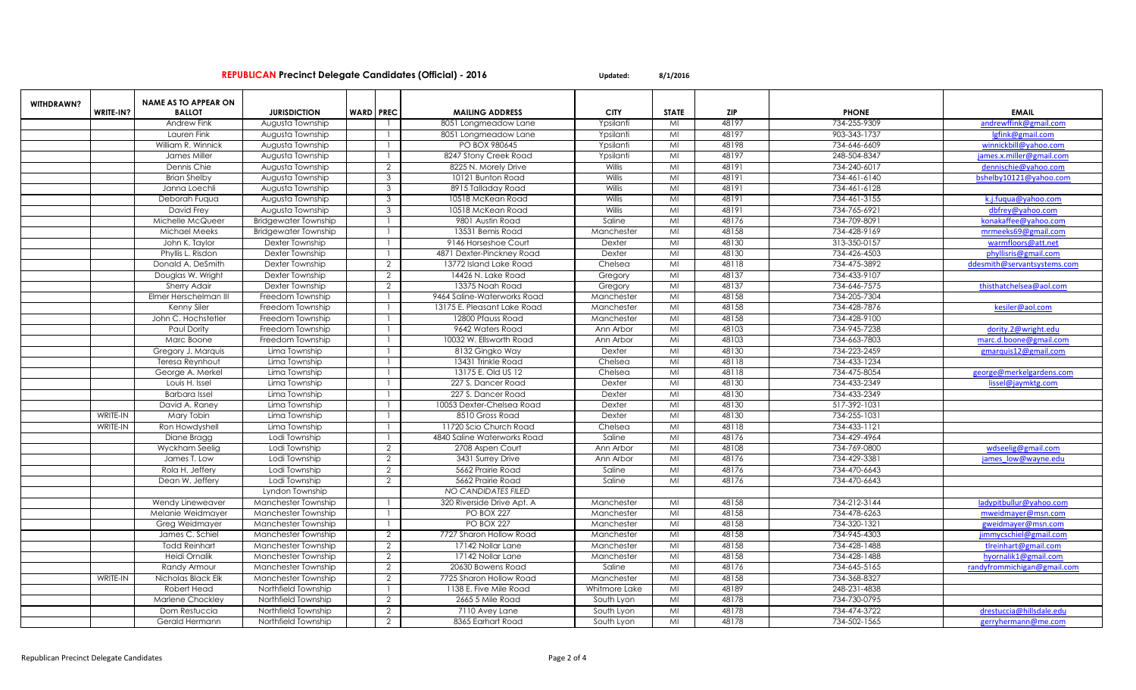|                   |           | <b>NAME AS TO APPEAR ON</b> |                             |                  |                |                             |               |                         |            |              |                             |
|-------------------|-----------|-----------------------------|-----------------------------|------------------|----------------|-----------------------------|---------------|-------------------------|------------|--------------|-----------------------------|
| <b>WITHDRAWN?</b> | WRITE-IN? | <b>BALLOT</b>               | <b>JURISDICTION</b>         | <b>WARD PREC</b> |                | <b>MAILING ADDRESS</b>      | <b>CITY</b>   | STATE                   | <b>ZIP</b> | <b>PHONE</b> | <b>EMAIL</b>                |
|                   |           | Andrew Fink                 | Augusta Township            |                  |                | 8051 Longmeadow Lane        | Ypsilanti     | MI                      | 48197      | 734-255-9309 | andrewffink@gmail.com       |
|                   |           | Lauren Fink                 | Augusta Township            |                  |                | 8051 Longmeadow Lane        | Ypsilanti     | MI                      | 48197      | 903-343-1737 | lgfink@gmail.com            |
|                   |           | William R. Winnick          | Augusta Township            |                  |                | PO BOX 980645               | Ypsilanti     | MI                      | 48198      | 734-646-6609 | winnickbill@yahoo.com       |
|                   |           | James Miller                | Augusta Township            |                  |                | 8247 Stony Creek Road       | Ypsilant      | $\overline{\mathsf{M}}$ | 48197      | 248-504-8347 | james.x.miller@gmail.com    |
|                   |           | Dennis Chie                 | Augusta Township            |                  | 2              | 8225 N. Morely Drive        | Willis        | MI                      | 48191      | 734-240-6017 | dennischie@yahoo.com        |
|                   |           | <b>Brian Shelby</b>         | Augusta Township            |                  | 3              | 10121 Bunton Road           | Willis        | M <sub>l</sub>          | 48191      | 734-461-6140 | bshelby10121@yahoo.com      |
|                   |           | Janna Loechli               | Augusta Township            |                  | $\mathcal{S}$  | 8915 Talladay Road          | Willis        | MI                      | 48191      | 734-461-6128 |                             |
|                   |           | Deborah Fuqua               | Augusta Township            |                  | 3              | 10518 McKean Road           | Willis        | MI                      | 48191      | 734-461-3155 | k.j.fuqua@yahoo.com         |
|                   |           | David Frey                  | Augusta Township            |                  | 3              | 10518 McKean Road           | Willis        | MI                      | 48191      | 734-765-6921 | dbfrey@yahoo.com            |
|                   |           | Michelle McQueer            | <b>Bridgewater Township</b> |                  |                | 9801 Austin Road            | Saline        | MI                      | 48176      | 734-709-8091 | konakaffee@yahoo.com        |
|                   |           | <b>Michael Meeks</b>        | <b>Bridgewater Township</b> |                  |                | 13531 Bemis Road            | Manchester    | MI                      | 48158      | 734-428-9169 | mrmeeks69@gmail.com         |
|                   |           | John K. Taylor              | Dexter Township             |                  |                | 9146 Horseshoe Court        | Dexter        | MI                      | 48130      | 313-350-0157 | warmfloors@att.net          |
|                   |           | Phyllis L. Risdon           | Dexter Township             |                  |                | 4871 Dexter-Pinckney Road   | Dexter        | MI                      | 48130      | 734-426-4503 | phyllisris@gmail.com        |
|                   |           | Donald A. DeSmith           | Dexter Township             |                  | 2              | 13772 Island Lake Road      | Chelsea       | MI                      | 48118      | 734-475-3892 | ddesmith@servantsystems.com |
|                   |           | Douglas W. Wright           | Dexter Township             |                  | 2              | 14426 N. Lake Road          | Gregory       | MI                      | 48137      | 734-433-9107 |                             |
|                   |           | Sherry Adair                | Dexter Township             |                  | 2              | 13375 Noah Road             | Gregory       | MI                      | 48137      | 734-646-7575 | thisthatchelsea@aol.com     |
|                   |           | Elmer Herschelman III       | Freedom Township            |                  |                | 9464 Saline-Waterworks Road | Manchester    | MI                      | 48158      | 734-205-7304 |                             |
|                   |           | Kenny Siler                 | Freedom Township            |                  |                | 13175 E. Pleasant Lake Road | Manchester    | MI                      | 48158      | 734-428-7876 | kesiler@aol.com             |
|                   |           | John C. Hochstetler         | Freedom Township            |                  |                | 12800 Pfauss Road           | Manchester    | MI                      | 48158      | 734-428-9100 |                             |
|                   |           | Paul Dority                 | Freedom Township            |                  |                | 9642 Waters Road            | Ann Arbor     | MI                      | 48103      | 734-945-7238 | dority.2@wright.edu         |
|                   |           | Marc Boone                  | Freedom Township            |                  |                | 10032 W. Ellsworth Road     | Ann Arbor     | Mi                      | 48103      | 734-663-7803 | marc.d.boone@gmail.com      |
|                   |           | Gregory J. Marquis          | Lima Township               |                  |                | 8132 Gingko Way             | Dexter        | MI                      | 48130      | 734-223-2459 | gmarquis12@gmail.com        |
|                   |           | Teresa Reynhout             | Lima Township               |                  |                | 13431 Trinkle Road          | Chelsea       | MI                      | 48118      | 734-433-1234 |                             |
|                   |           | George A. Merkel            | Lima Township               |                  |                | 13175 E. Old US 12          | Chelsea       | MI                      | 48118      | 734-475-8054 | george@merkelgardens.com    |
|                   |           | Louis H. Issel              | Lima Township               |                  |                | 227 S. Dancer Road          | Dexter        | MI                      | 48130      | 734-433-2349 | lissel@jaymktg.com          |
|                   |           | <b>Barbara</b> Issel        | Lima Township               |                  |                | 227 S. Dancer Road          | Dexter        | MI                      | 48130      | 734-433-2349 |                             |
|                   |           | David A. Raney              | Lima Township               |                  |                | 10053 Dexter-Chelsea Road   | Dexter        | MI                      | 48130      | 517-392-1031 |                             |
|                   | WRITE-IN  | Mary Tobin                  | Lima Township               |                  |                | 8510 Gross Road             | Dexter        | MI                      | 48130      | 734-255-1031 |                             |
|                   | WRITE-IN  | Ron Howdyshell              | Lima Township               |                  |                | 11720 Scio Church Road      | Chelsea       | MI                      | 48118      | 734-433-1121 |                             |
|                   |           | Diane Bragg                 | Lodi Township               |                  |                | 4840 Saline Waterworks Road | Saline        | MI                      | 48176      | 734-429-4964 |                             |
|                   |           | Wyckham Seelig              | Lodi Township               |                  | $\overline{2}$ | 2708 Aspen Court            | Ann Arbor     | MI                      | 48108      | 734-769-0800 | wdseelig@gmail.com          |
|                   |           | James T. Low                | Lodi Township               |                  | 2              | 3431 Surrey Drive           | Ann Arbor     | MI                      | 48176      | 734-429-3381 | james low@wayne.edu         |
|                   |           | Rola H. Jeffery             | Lodi Township               |                  | 2              | 5662 Prairie Road           | Saline        | MI                      | 48176      | 734-470-6643 |                             |
|                   |           | Dean W. Jeffery             | Lodi Township               |                  | 2              | 5662 Prairie Road           | Saline        | MI                      | 48176      | 734-470-6643 |                             |
|                   |           |                             | Lyndon Township             |                  |                | <b>NO CANDIDATES FILED</b>  |               |                         |            |              |                             |
|                   |           | Wendy Lineweaver            | Manchester Township         |                  |                | 320 Riverside Drive Apt. A  | Manchester    | MI                      | 48158      | 734-212-3144 | adypitbullur@yahoo.com      |
|                   |           | Melanie Weidmayer           | Manchester Township         |                  |                | <b>PO BOX 227</b>           | Manchester    | MI                      | 48158      | 734-478-6263 | mweidmayer@msn.com          |
|                   |           | Greg Weidmayer              | Manchester Township         |                  |                | <b>PO BOX 227</b>           | Manchester    | MI                      | 48158      | 734-320-1321 | gweidmayer@msn.com          |
|                   |           | James C. Schiel             | Manchester Township         |                  | 2              | 7727 Sharon Hollow Road     | Manchester    | MI                      | 48158      | 734-945-4303 | jimmycschiel@gmail.com      |
|                   |           | <b>Todd Reinhart</b>        | Manchester Township         |                  | 2              | 17142 Nollar Lane           | Manchester    | MI                      | 48158      | 734-428-1488 | tlreinhart@gmail.com        |
|                   |           | Heidi Ornalik               | Manchester Township         |                  | 2              | 17142 Nollar Lane           | Manchester    | MI                      | 48158      | 734-428-1488 | hyornalik1@gmail.com        |
|                   |           | Randy Armour                | Manchester Township         |                  | 2              | 20630 Bowens Road           | Saline        | MI                      | 48176      | 734-645-5165 | randyfrommichigan@gmail.com |
|                   | WRITE-IN  | Nicholas Black Elk          | Manchester Township         |                  | 2              | 7725 Sharon Hollow Road     | Manchester    | MI                      | 48158      | 734-368-8327 |                             |
|                   |           | Robert Head                 | Northfield Township         |                  |                | 1138 E. Five Mile Road      | Whitmore Lake | MI                      | 48189      | 248-231-4838 |                             |
|                   |           | Marlene Chockley            | Northfield Township         |                  | 2              | 2665 5 Mile Road            | South Lyon    | MI                      | 48178      | 734-730-0795 |                             |
|                   |           | Dom Restuccia               | Northfield Township         |                  | 2              | 7110 Avey Lane              | South Lyon    | MI                      | 48178      | 734-474-3722 | drestuccia@hillsdale.edu    |
|                   |           | Gerald Hermann              | Northfield Township         |                  | 2              | 8365 Earhart Road           | South Lyon    | MI                      | 48178      | 734-502-1565 | gerryhermann@me.com         |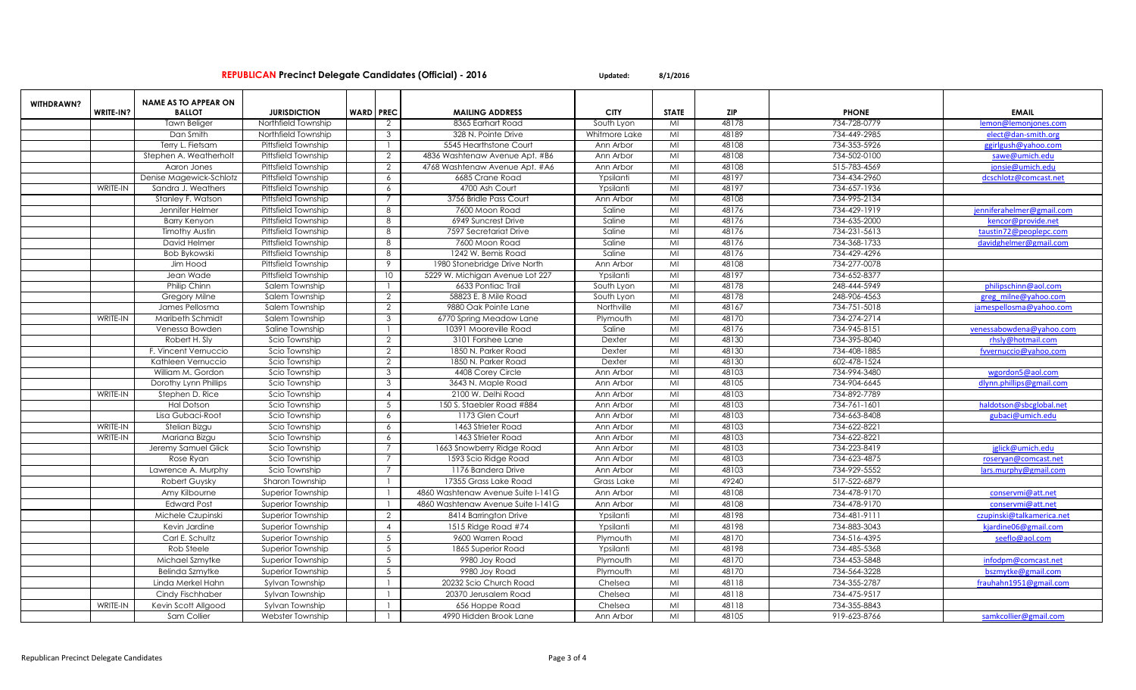| WITHDRAWN?<br>WRITE-IN?<br><b>WARD PREC</b><br><b>CITY</b><br><b>ZIP</b><br><b>EMAIL</b><br><b>BALLOT</b><br><b>JURISDICTION</b><br><b>MAILING ADDRESS</b><br><b>STATE</b><br><b>PHONE</b><br>48178<br>8365 Earhart Road<br>734-728-0779<br>lemon@lemonjones.com<br><b>Tawn Beliger</b><br>Northfield Township<br>South Lyon<br>MI<br>2<br>48189<br>734-449-2985<br>Dan Smith<br>Northfield Township<br>328 N. Pointe Drive<br>Whitmore Lake<br>MI<br>elect@dan-smith.org<br>3<br>48108<br>734-353-5926<br>Terry L. Fietsam<br>Pittsfield Township<br>5545 Hearthstone Court<br>Ann Arbor<br>MI<br>ggirlgush@yahoo.com<br>48108<br>Pittsfield Township<br>734-502-0100<br>Stephen A. Weatherholt<br>4836 Washtenaw Avenue Apt. #B6<br>Ann Arbor<br>MI<br>sawe@umich.edu<br>2<br>Pittsfield Township<br>4768 Washtenaw Avenue Apt. #A6<br>48108<br>515-783-4569<br>Aaron Jones<br>2<br>Ann Arbor<br>MI<br>jonsie@umich.edu<br>48197<br>734-434-2960<br>Denise Magewick-Schlotz<br>Pittsfield Township<br>6685 Crane Road<br>Ypsilanti<br>MI<br>6<br>dcschlotz@comcast.net<br>48197<br><b>WRITE-IN</b><br>Pittsfield Township<br>4700 Ash Court<br>MI<br>734-657-1936<br>Sandra J. Weathers<br>6<br>Ypsilanti<br>48108<br>734-995-2134<br>Stanley F. Watson<br>Pittsfield Township<br>3756 Bridle Pass Courl<br>Ann Arbor<br>MI<br>48176<br>Pittsfield Township<br>7600 Moon Road<br>Saline<br>MI<br>734-429-1919<br>Jennifer Helmer<br>8<br>enniferahelmer@gmail.com<br>48176<br>Pittsfield Township<br>6949 Suncrest Drive<br>734-635-2000<br><b>Barry Kenyon</b><br>8<br>Saline<br>MI<br>kencor@provide.net<br>Pittsfield Township<br>7597 Secretariat Drive<br>48176<br>734-231-5613<br><b>Timothy Austin</b><br>8<br>Saline<br>MI<br>taustin72@peoplepc.com<br>48176<br>Pittsfield Township<br>7600 Moon Road<br>734-368-1733<br>David Helmer<br>8<br>Saline<br>MI<br>davidghelmer@gmail.com<br>48176<br>734-429-4296<br><b>Pittsfield Township</b><br>8<br>1242 W. Bemis Road<br>Saline<br>MI<br>Bob Bykowski<br>Pittsfield Township<br>48108<br>734-277-0078<br>Jim Hood<br>9<br>1980 Stonebridge Drive North<br>Ann Arbor<br>MI<br>48197<br><b>Pittsfield Township</b><br>10<br>5229 W. Michigan Avenue Lot 227<br>734-652-8377<br>Jean Wade<br>Ypsilanti<br>MI<br>48178<br>6633 Pontiac Trail<br>248-444-5949<br>Philip Chinn<br>Salem Township<br>South Lyon<br>MI<br>philipschinn@aol.com<br>48178<br>2<br>58823 E. 8 Mile Road<br>MI<br>248-906-4563<br>greg milne@yahoo.com<br>Gregory Milne<br>Salem Township<br>South Lyon |  | <b>NAME AS TO APPEAR ON</b> |                |   |                      |            |    |       |              |                         |
|-----------------------------------------------------------------------------------------------------------------------------------------------------------------------------------------------------------------------------------------------------------------------------------------------------------------------------------------------------------------------------------------------------------------------------------------------------------------------------------------------------------------------------------------------------------------------------------------------------------------------------------------------------------------------------------------------------------------------------------------------------------------------------------------------------------------------------------------------------------------------------------------------------------------------------------------------------------------------------------------------------------------------------------------------------------------------------------------------------------------------------------------------------------------------------------------------------------------------------------------------------------------------------------------------------------------------------------------------------------------------------------------------------------------------------------------------------------------------------------------------------------------------------------------------------------------------------------------------------------------------------------------------------------------------------------------------------------------------------------------------------------------------------------------------------------------------------------------------------------------------------------------------------------------------------------------------------------------------------------------------------------------------------------------------------------------------------------------------------------------------------------------------------------------------------------------------------------------------------------------------------------------------------------------------------------------------------------------------------------------------------------------------------------------------------------------------------------------------------------------------------------------------------------------|--|-----------------------------|----------------|---|----------------------|------------|----|-------|--------------|-------------------------|
|                                                                                                                                                                                                                                                                                                                                                                                                                                                                                                                                                                                                                                                                                                                                                                                                                                                                                                                                                                                                                                                                                                                                                                                                                                                                                                                                                                                                                                                                                                                                                                                                                                                                                                                                                                                                                                                                                                                                                                                                                                                                                                                                                                                                                                                                                                                                                                                                                                                                                                                                         |  |                             |                |   |                      |            |    |       |              |                         |
|                                                                                                                                                                                                                                                                                                                                                                                                                                                                                                                                                                                                                                                                                                                                                                                                                                                                                                                                                                                                                                                                                                                                                                                                                                                                                                                                                                                                                                                                                                                                                                                                                                                                                                                                                                                                                                                                                                                                                                                                                                                                                                                                                                                                                                                                                                                                                                                                                                                                                                                                         |  |                             |                |   |                      |            |    |       |              |                         |
|                                                                                                                                                                                                                                                                                                                                                                                                                                                                                                                                                                                                                                                                                                                                                                                                                                                                                                                                                                                                                                                                                                                                                                                                                                                                                                                                                                                                                                                                                                                                                                                                                                                                                                                                                                                                                                                                                                                                                                                                                                                                                                                                                                                                                                                                                                                                                                                                                                                                                                                                         |  |                             |                |   |                      |            |    |       |              |                         |
|                                                                                                                                                                                                                                                                                                                                                                                                                                                                                                                                                                                                                                                                                                                                                                                                                                                                                                                                                                                                                                                                                                                                                                                                                                                                                                                                                                                                                                                                                                                                                                                                                                                                                                                                                                                                                                                                                                                                                                                                                                                                                                                                                                                                                                                                                                                                                                                                                                                                                                                                         |  |                             |                |   |                      |            |    |       |              |                         |
|                                                                                                                                                                                                                                                                                                                                                                                                                                                                                                                                                                                                                                                                                                                                                                                                                                                                                                                                                                                                                                                                                                                                                                                                                                                                                                                                                                                                                                                                                                                                                                                                                                                                                                                                                                                                                                                                                                                                                                                                                                                                                                                                                                                                                                                                                                                                                                                                                                                                                                                                         |  |                             |                |   |                      |            |    |       |              |                         |
|                                                                                                                                                                                                                                                                                                                                                                                                                                                                                                                                                                                                                                                                                                                                                                                                                                                                                                                                                                                                                                                                                                                                                                                                                                                                                                                                                                                                                                                                                                                                                                                                                                                                                                                                                                                                                                                                                                                                                                                                                                                                                                                                                                                                                                                                                                                                                                                                                                                                                                                                         |  |                             |                |   |                      |            |    |       |              |                         |
|                                                                                                                                                                                                                                                                                                                                                                                                                                                                                                                                                                                                                                                                                                                                                                                                                                                                                                                                                                                                                                                                                                                                                                                                                                                                                                                                                                                                                                                                                                                                                                                                                                                                                                                                                                                                                                                                                                                                                                                                                                                                                                                                                                                                                                                                                                                                                                                                                                                                                                                                         |  |                             |                |   |                      |            |    |       |              |                         |
|                                                                                                                                                                                                                                                                                                                                                                                                                                                                                                                                                                                                                                                                                                                                                                                                                                                                                                                                                                                                                                                                                                                                                                                                                                                                                                                                                                                                                                                                                                                                                                                                                                                                                                                                                                                                                                                                                                                                                                                                                                                                                                                                                                                                                                                                                                                                                                                                                                                                                                                                         |  |                             |                |   |                      |            |    |       |              |                         |
|                                                                                                                                                                                                                                                                                                                                                                                                                                                                                                                                                                                                                                                                                                                                                                                                                                                                                                                                                                                                                                                                                                                                                                                                                                                                                                                                                                                                                                                                                                                                                                                                                                                                                                                                                                                                                                                                                                                                                                                                                                                                                                                                                                                                                                                                                                                                                                                                                                                                                                                                         |  |                             |                |   |                      |            |    |       |              |                         |
|                                                                                                                                                                                                                                                                                                                                                                                                                                                                                                                                                                                                                                                                                                                                                                                                                                                                                                                                                                                                                                                                                                                                                                                                                                                                                                                                                                                                                                                                                                                                                                                                                                                                                                                                                                                                                                                                                                                                                                                                                                                                                                                                                                                                                                                                                                                                                                                                                                                                                                                                         |  |                             |                |   |                      |            |    |       |              |                         |
|                                                                                                                                                                                                                                                                                                                                                                                                                                                                                                                                                                                                                                                                                                                                                                                                                                                                                                                                                                                                                                                                                                                                                                                                                                                                                                                                                                                                                                                                                                                                                                                                                                                                                                                                                                                                                                                                                                                                                                                                                                                                                                                                                                                                                                                                                                                                                                                                                                                                                                                                         |  |                             |                |   |                      |            |    |       |              |                         |
|                                                                                                                                                                                                                                                                                                                                                                                                                                                                                                                                                                                                                                                                                                                                                                                                                                                                                                                                                                                                                                                                                                                                                                                                                                                                                                                                                                                                                                                                                                                                                                                                                                                                                                                                                                                                                                                                                                                                                                                                                                                                                                                                                                                                                                                                                                                                                                                                                                                                                                                                         |  |                             |                |   |                      |            |    |       |              |                         |
|                                                                                                                                                                                                                                                                                                                                                                                                                                                                                                                                                                                                                                                                                                                                                                                                                                                                                                                                                                                                                                                                                                                                                                                                                                                                                                                                                                                                                                                                                                                                                                                                                                                                                                                                                                                                                                                                                                                                                                                                                                                                                                                                                                                                                                                                                                                                                                                                                                                                                                                                         |  |                             |                |   |                      |            |    |       |              |                         |
|                                                                                                                                                                                                                                                                                                                                                                                                                                                                                                                                                                                                                                                                                                                                                                                                                                                                                                                                                                                                                                                                                                                                                                                                                                                                                                                                                                                                                                                                                                                                                                                                                                                                                                                                                                                                                                                                                                                                                                                                                                                                                                                                                                                                                                                                                                                                                                                                                                                                                                                                         |  |                             |                |   |                      |            |    |       |              |                         |
|                                                                                                                                                                                                                                                                                                                                                                                                                                                                                                                                                                                                                                                                                                                                                                                                                                                                                                                                                                                                                                                                                                                                                                                                                                                                                                                                                                                                                                                                                                                                                                                                                                                                                                                                                                                                                                                                                                                                                                                                                                                                                                                                                                                                                                                                                                                                                                                                                                                                                                                                         |  |                             |                |   |                      |            |    |       |              |                         |
|                                                                                                                                                                                                                                                                                                                                                                                                                                                                                                                                                                                                                                                                                                                                                                                                                                                                                                                                                                                                                                                                                                                                                                                                                                                                                                                                                                                                                                                                                                                                                                                                                                                                                                                                                                                                                                                                                                                                                                                                                                                                                                                                                                                                                                                                                                                                                                                                                                                                                                                                         |  |                             |                |   |                      |            |    |       |              |                         |
|                                                                                                                                                                                                                                                                                                                                                                                                                                                                                                                                                                                                                                                                                                                                                                                                                                                                                                                                                                                                                                                                                                                                                                                                                                                                                                                                                                                                                                                                                                                                                                                                                                                                                                                                                                                                                                                                                                                                                                                                                                                                                                                                                                                                                                                                                                                                                                                                                                                                                                                                         |  |                             |                |   |                      |            |    |       |              |                         |
|                                                                                                                                                                                                                                                                                                                                                                                                                                                                                                                                                                                                                                                                                                                                                                                                                                                                                                                                                                                                                                                                                                                                                                                                                                                                                                                                                                                                                                                                                                                                                                                                                                                                                                                                                                                                                                                                                                                                                                                                                                                                                                                                                                                                                                                                                                                                                                                                                                                                                                                                         |  |                             |                |   |                      |            |    |       |              |                         |
|                                                                                                                                                                                                                                                                                                                                                                                                                                                                                                                                                                                                                                                                                                                                                                                                                                                                                                                                                                                                                                                                                                                                                                                                                                                                                                                                                                                                                                                                                                                                                                                                                                                                                                                                                                                                                                                                                                                                                                                                                                                                                                                                                                                                                                                                                                                                                                                                                                                                                                                                         |  | James Pellosma              | Salem Township | 2 | 9880 Oak Pointe Lane | Northville | MI | 48167 | 734-751-5018 | jamespellosma@yahoo.com |
| 48170<br>734-274-2714<br><b>WRITE-IN</b><br>Salem Township<br>3<br>6770 Spring Meadow Lane<br>MI<br>Maribeth Schmidt<br>Plymouth                                                                                                                                                                                                                                                                                                                                                                                                                                                                                                                                                                                                                                                                                                                                                                                                                                                                                                                                                                                                                                                                                                                                                                                                                                                                                                                                                                                                                                                                                                                                                                                                                                                                                                                                                                                                                                                                                                                                                                                                                                                                                                                                                                                                                                                                                                                                                                                                        |  |                             |                |   |                      |            |    |       |              |                         |
| 48176<br>734-945-8151<br>Saline Township<br>10391 Mooreville Road<br>Saline<br>MI<br>venessabowdena@yahoo.com<br>Venessa Bowden                                                                                                                                                                                                                                                                                                                                                                                                                                                                                                                                                                                                                                                                                                                                                                                                                                                                                                                                                                                                                                                                                                                                                                                                                                                                                                                                                                                                                                                                                                                                                                                                                                                                                                                                                                                                                                                                                                                                                                                                                                                                                                                                                                                                                                                                                                                                                                                                         |  |                             |                |   |                      |            |    |       |              |                         |
| 48130<br>Robert H. Sly<br>2<br>3101 Forshee Lane<br>Dexter<br>MI<br>734-395-8040<br>Scio Township<br>rhsly@hotmail.com                                                                                                                                                                                                                                                                                                                                                                                                                                                                                                                                                                                                                                                                                                                                                                                                                                                                                                                                                                                                                                                                                                                                                                                                                                                                                                                                                                                                                                                                                                                                                                                                                                                                                                                                                                                                                                                                                                                                                                                                                                                                                                                                                                                                                                                                                                                                                                                                                  |  |                             |                |   |                      |            |    |       |              |                         |
| 2<br>1850 N. Parker Road<br>48130<br>734-408-1885<br>F. Vincent Vernuccio<br>Scio Township<br>Dexter<br>MI<br>fwernuccio@yahoo.com                                                                                                                                                                                                                                                                                                                                                                                                                                                                                                                                                                                                                                                                                                                                                                                                                                                                                                                                                                                                                                                                                                                                                                                                                                                                                                                                                                                                                                                                                                                                                                                                                                                                                                                                                                                                                                                                                                                                                                                                                                                                                                                                                                                                                                                                                                                                                                                                      |  |                             |                |   |                      |            |    |       |              |                         |
| 48130<br>602-478-1524<br>Scio Township<br>$\overline{2}$<br>1850 N. Parker Road<br>Dexter<br>MI<br>Kathleen Vernuccio                                                                                                                                                                                                                                                                                                                                                                                                                                                                                                                                                                                                                                                                                                                                                                                                                                                                                                                                                                                                                                                                                                                                                                                                                                                                                                                                                                                                                                                                                                                                                                                                                                                                                                                                                                                                                                                                                                                                                                                                                                                                                                                                                                                                                                                                                                                                                                                                                   |  |                             |                |   |                      |            |    |       |              |                         |
| 3<br>48103<br>734-994-3480<br>William M. Gordon<br>Scio Township<br>4408 Corey Circle<br>Ann Arbor<br>MI<br>wgordon5@aol.com                                                                                                                                                                                                                                                                                                                                                                                                                                                                                                                                                                                                                                                                                                                                                                                                                                                                                                                                                                                                                                                                                                                                                                                                                                                                                                                                                                                                                                                                                                                                                                                                                                                                                                                                                                                                                                                                                                                                                                                                                                                                                                                                                                                                                                                                                                                                                                                                            |  |                             |                |   |                      |            |    |       |              |                         |
| 48105<br>734-904-6645<br>Scio Township<br>3<br>3643 N. Maple Road<br>Ann Arbor<br>MI<br>Dorothy Lynn Phillips<br>dlynn.phillips@gmail.com                                                                                                                                                                                                                                                                                                                                                                                                                                                                                                                                                                                                                                                                                                                                                                                                                                                                                                                                                                                                                                                                                                                                                                                                                                                                                                                                                                                                                                                                                                                                                                                                                                                                                                                                                                                                                                                                                                                                                                                                                                                                                                                                                                                                                                                                                                                                                                                               |  |                             |                |   |                      |            |    |       |              |                         |
| 2100 W. Delhi Road<br>48103<br>734-892-7789<br>WRITE-IN<br>Stephen D. Rice<br>Scio Township<br>Ann Arbor<br>MI<br>$\overline{4}$                                                                                                                                                                                                                                                                                                                                                                                                                                                                                                                                                                                                                                                                                                                                                                                                                                                                                                                                                                                                                                                                                                                                                                                                                                                                                                                                                                                                                                                                                                                                                                                                                                                                                                                                                                                                                                                                                                                                                                                                                                                                                                                                                                                                                                                                                                                                                                                                        |  |                             |                |   |                      |            |    |       |              |                         |
| 48103<br>734-761-1601<br>haldotson@sbcglobal.net<br><b>Hal Dotson</b><br>Scio Township<br>$5\phantom{.0}$<br>150 S. Staebler Road #884<br>Ann Arbor<br>MI                                                                                                                                                                                                                                                                                                                                                                                                                                                                                                                                                                                                                                                                                                                                                                                                                                                                                                                                                                                                                                                                                                                                                                                                                                                                                                                                                                                                                                                                                                                                                                                                                                                                                                                                                                                                                                                                                                                                                                                                                                                                                                                                                                                                                                                                                                                                                                               |  |                             |                |   |                      |            |    |       |              |                         |
| 48103<br>734-663-8408<br>Lisa Gubaci-Root<br>1173 Glen Court<br>MI<br>gubaci@umich.edu<br>Scio Township<br>6<br>Ann Arbor                                                                                                                                                                                                                                                                                                                                                                                                                                                                                                                                                                                                                                                                                                                                                                                                                                                                                                                                                                                                                                                                                                                                                                                                                                                                                                                                                                                                                                                                                                                                                                                                                                                                                                                                                                                                                                                                                                                                                                                                                                                                                                                                                                                                                                                                                                                                                                                                               |  |                             |                |   |                      |            |    |       |              |                         |
| 48103<br>734-622-8221<br>WRITE-IN<br>Stelian Bizgu<br>Scio Township<br>1463 Strieter Road<br>Ann Arbor<br>MI<br>6                                                                                                                                                                                                                                                                                                                                                                                                                                                                                                                                                                                                                                                                                                                                                                                                                                                                                                                                                                                                                                                                                                                                                                                                                                                                                                                                                                                                                                                                                                                                                                                                                                                                                                                                                                                                                                                                                                                                                                                                                                                                                                                                                                                                                                                                                                                                                                                                                       |  |                             |                |   |                      |            |    |       |              |                         |
| 48103<br>734-622-8221<br><b>WRITE-IN</b><br>1463 Strieter Road<br>MI<br>Mariana Bizgu<br>Scio Township<br>6<br>Ann Arbor                                                                                                                                                                                                                                                                                                                                                                                                                                                                                                                                                                                                                                                                                                                                                                                                                                                                                                                                                                                                                                                                                                                                                                                                                                                                                                                                                                                                                                                                                                                                                                                                                                                                                                                                                                                                                                                                                                                                                                                                                                                                                                                                                                                                                                                                                                                                                                                                                |  |                             |                |   |                      |            |    |       |              |                         |
| 48103<br>734-223-8419<br>Jeremy Samuel Glick<br>Scio Township<br>1663 Snowberry Ridge Road<br>Ann Arbor<br>MI<br>jglick@umich.edu                                                                                                                                                                                                                                                                                                                                                                                                                                                                                                                                                                                                                                                                                                                                                                                                                                                                                                                                                                                                                                                                                                                                                                                                                                                                                                                                                                                                                                                                                                                                                                                                                                                                                                                                                                                                                                                                                                                                                                                                                                                                                                                                                                                                                                                                                                                                                                                                       |  |                             |                |   |                      |            |    |       |              |                         |
| 48103<br>734-623-4875<br>1593 Scio Ridge Road<br>MI<br>Rose Ryan<br>Scio Township<br>Ann Arbor<br>roseryan@comcast.net                                                                                                                                                                                                                                                                                                                                                                                                                                                                                                                                                                                                                                                                                                                                                                                                                                                                                                                                                                                                                                                                                                                                                                                                                                                                                                                                                                                                                                                                                                                                                                                                                                                                                                                                                                                                                                                                                                                                                                                                                                                                                                                                                                                                                                                                                                                                                                                                                  |  |                             |                |   |                      |            |    |       |              |                         |
| 48103<br>1176 Bandera Drive<br>734-929-5552<br>Scio Township<br>Ann Arbor<br>MI<br>lars.murphy@gmail.com<br>Lawrence A. Murphy                                                                                                                                                                                                                                                                                                                                                                                                                                                                                                                                                                                                                                                                                                                                                                                                                                                                                                                                                                                                                                                                                                                                                                                                                                                                                                                                                                                                                                                                                                                                                                                                                                                                                                                                                                                                                                                                                                                                                                                                                                                                                                                                                                                                                                                                                                                                                                                                          |  |                             |                |   |                      |            |    |       |              |                         |
| 49240<br>517-522-6879<br>17355 Grass Lake Road<br>Grass Lake<br>MI<br><b>Robert Guysky</b><br>Sharon Township                                                                                                                                                                                                                                                                                                                                                                                                                                                                                                                                                                                                                                                                                                                                                                                                                                                                                                                                                                                                                                                                                                                                                                                                                                                                                                                                                                                                                                                                                                                                                                                                                                                                                                                                                                                                                                                                                                                                                                                                                                                                                                                                                                                                                                                                                                                                                                                                                           |  |                             |                |   |                      |            |    |       |              |                         |
| 4860 Washtenaw Avenue Suite I-141G<br>MI<br>48108<br>734-478-9170<br>Amy Kilbourne<br>Superior Township<br>Ann Arbor<br>conservmi@att.net                                                                                                                                                                                                                                                                                                                                                                                                                                                                                                                                                                                                                                                                                                                                                                                                                                                                                                                                                                                                                                                                                                                                                                                                                                                                                                                                                                                                                                                                                                                                                                                                                                                                                                                                                                                                                                                                                                                                                                                                                                                                                                                                                                                                                                                                                                                                                                                               |  |                             |                |   |                      |            |    |       |              |                         |
| 48108<br>734-478-9170<br><b>Edward Post</b><br>4860 Washtenaw Avenue Suite I-141G<br>Ann Arbor<br>MI<br>Superior Township<br>conservmi@att.net                                                                                                                                                                                                                                                                                                                                                                                                                                                                                                                                                                                                                                                                                                                                                                                                                                                                                                                                                                                                                                                                                                                                                                                                                                                                                                                                                                                                                                                                                                                                                                                                                                                                                                                                                                                                                                                                                                                                                                                                                                                                                                                                                                                                                                                                                                                                                                                          |  |                             |                |   |                      |            |    |       |              |                         |
| 48198<br>2<br>MI<br>734-481-9111<br>czupinski@talkamerica.net<br>Michele Czupinski<br>Superior Township<br>8414 Barrington Drive<br>Ypsilanti                                                                                                                                                                                                                                                                                                                                                                                                                                                                                                                                                                                                                                                                                                                                                                                                                                                                                                                                                                                                                                                                                                                                                                                                                                                                                                                                                                                                                                                                                                                                                                                                                                                                                                                                                                                                                                                                                                                                                                                                                                                                                                                                                                                                                                                                                                                                                                                           |  |                             |                |   |                      |            |    |       |              |                         |
| 48198<br>734-883-3043<br>$\overline{4}$<br>1515 Ridge Road #74<br>Ypsilanti<br>MI<br>kiardine06@gmail.com<br>Kevin Jardine<br>Superior Township                                                                                                                                                                                                                                                                                                                                                                                                                                                                                                                                                                                                                                                                                                                                                                                                                                                                                                                                                                                                                                                                                                                                                                                                                                                                                                                                                                                                                                                                                                                                                                                                                                                                                                                                                                                                                                                                                                                                                                                                                                                                                                                                                                                                                                                                                                                                                                                         |  |                             |                |   |                      |            |    |       |              |                         |
| $5\overline{5}$<br>48170<br>734-516-4395<br>seeflo@aol.com<br>Carl E. Schultz<br>9600 Warren Road<br>MI<br>Superior Township<br>Plymouth                                                                                                                                                                                                                                                                                                                                                                                                                                                                                                                                                                                                                                                                                                                                                                                                                                                                                                                                                                                                                                                                                                                                                                                                                                                                                                                                                                                                                                                                                                                                                                                                                                                                                                                                                                                                                                                                                                                                                                                                                                                                                                                                                                                                                                                                                                                                                                                                |  |                             |                |   |                      |            |    |       |              |                         |
| $5\overline{5}$<br>48198<br>734-485-5368<br>Rob Steele<br>1865 Superior Road<br>Ypsilanti<br>MI<br>Superior Township                                                                                                                                                                                                                                                                                                                                                                                                                                                                                                                                                                                                                                                                                                                                                                                                                                                                                                                                                                                                                                                                                                                                                                                                                                                                                                                                                                                                                                                                                                                                                                                                                                                                                                                                                                                                                                                                                                                                                                                                                                                                                                                                                                                                                                                                                                                                                                                                                    |  |                             |                |   |                      |            |    |       |              |                         |
| 48170<br>734-453-5848<br>$5\overline{)}$<br>MI<br>infodpm@comcast.net<br>Michael Szmytke<br>Superior Township<br>9980 Joy Road<br>Plymouth                                                                                                                                                                                                                                                                                                                                                                                                                                                                                                                                                                                                                                                                                                                                                                                                                                                                                                                                                                                                                                                                                                                                                                                                                                                                                                                                                                                                                                                                                                                                                                                                                                                                                                                                                                                                                                                                                                                                                                                                                                                                                                                                                                                                                                                                                                                                                                                              |  |                             |                |   |                      |            |    |       |              |                         |
| 48170<br>$5\overline{)}$<br>9980 Joy Road<br>734-564-3228<br>Belinda Szmytke<br>Superior Township<br>Plymouth<br>MI<br>bszmytke@gmail.com                                                                                                                                                                                                                                                                                                                                                                                                                                                                                                                                                                                                                                                                                                                                                                                                                                                                                                                                                                                                                                                                                                                                                                                                                                                                                                                                                                                                                                                                                                                                                                                                                                                                                                                                                                                                                                                                                                                                                                                                                                                                                                                                                                                                                                                                                                                                                                                               |  |                             |                |   |                      |            |    |       |              |                         |
| 48118<br>734-355-2787<br>20232 Scio Church Road<br>Chelsea<br>MI<br>frauhahn1951@gmail.com<br>Linda Merkel Hahn<br>Sylvan Township                                                                                                                                                                                                                                                                                                                                                                                                                                                                                                                                                                                                                                                                                                                                                                                                                                                                                                                                                                                                                                                                                                                                                                                                                                                                                                                                                                                                                                                                                                                                                                                                                                                                                                                                                                                                                                                                                                                                                                                                                                                                                                                                                                                                                                                                                                                                                                                                      |  |                             |                |   |                      |            |    |       |              |                         |
| 48118<br>734-475-9517<br>20370 Jerusalem Road<br>MI<br>Cindy Fischhaber<br>Sylvan Township<br>Chelsea                                                                                                                                                                                                                                                                                                                                                                                                                                                                                                                                                                                                                                                                                                                                                                                                                                                                                                                                                                                                                                                                                                                                                                                                                                                                                                                                                                                                                                                                                                                                                                                                                                                                                                                                                                                                                                                                                                                                                                                                                                                                                                                                                                                                                                                                                                                                                                                                                                   |  |                             |                |   |                      |            |    |       |              |                         |
| 48118<br>WRITE-IN<br>Chelsea<br>MI<br>734-355-8843<br>Kevin Scott Allgood<br>Sylvan Township<br>656 Hoppe Road                                                                                                                                                                                                                                                                                                                                                                                                                                                                                                                                                                                                                                                                                                                                                                                                                                                                                                                                                                                                                                                                                                                                                                                                                                                                                                                                                                                                                                                                                                                                                                                                                                                                                                                                                                                                                                                                                                                                                                                                                                                                                                                                                                                                                                                                                                                                                                                                                          |  |                             |                |   |                      |            |    |       |              |                         |
| 48105<br>919-623-8766<br>4990 Hidden Brook Lane<br>MI<br>samkcollier@gmail.com<br>Sam Collier<br>Webster Township<br>Ann Arbor                                                                                                                                                                                                                                                                                                                                                                                                                                                                                                                                                                                                                                                                                                                                                                                                                                                                                                                                                                                                                                                                                                                                                                                                                                                                                                                                                                                                                                                                                                                                                                                                                                                                                                                                                                                                                                                                                                                                                                                                                                                                                                                                                                                                                                                                                                                                                                                                          |  |                             |                |   |                      |            |    |       |              |                         |